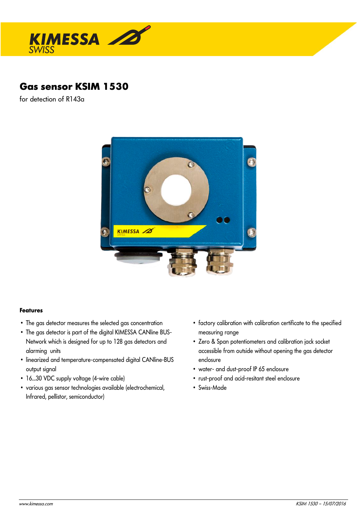

# **Gas sensor KSIM 1530**

for detection of R143a



### **Features**

- The gas detector measures the selected gas concentration
- The gas detector is part of the digital KIMESSA CANline BUS-Network which is designed for up to 128 gas detectors and alarming units
- linearized and temperature-compensated digital CANline-BUS output signal
- 16...30 VDC supply voltage (4-wire cable)
- various gas sensor technologies available (electrochemical, Infrared, pellistor, semiconductor)
- factory calibration with calibration certificate to the specified measuring range
- Zero & Span potentiometers and calibration jack socket accessible from outside without opening the gas detector enclosure
- water- and dust-proof IP 65 enclosure
- rust-proof and acid-resitant steel enclosure
- Swiss-Made